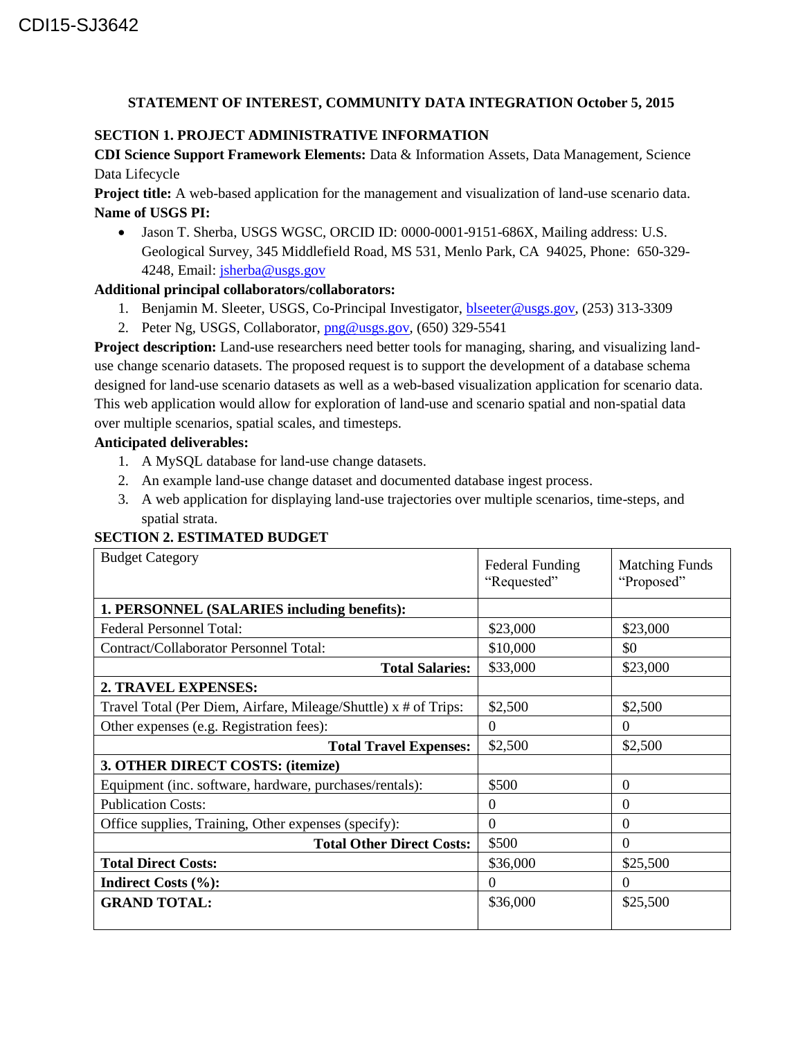# **STATEMENT OF INTEREST, COMMUNITY DATA INTEGRATION October 5, 2015**

# **SECTION 1. PROJECT ADMINISTRATIVE INFORMATION**

**CDI Science Support Framework Elements:** Data & Information Assets, Data Management, Science Data Lifecycle

**Project title:** A web-based application for the management and visualization of land-use scenario data. **Name of USGS PI:**

 Jason T. Sherba, USGS WGSC, ORCID ID: 0000-0001-9151-686X, Mailing address: U.S. Geological Survey, 345 Middlefield Road, MS 531, Menlo Park, CA 94025, Phone: 650-329- 4248, Email: [jsherba@usgs.gov](mailto:jsherba@usgs.gov)

# **Additional principal collaborators/collaborators:**

- 1. Benjamin M. Sleeter, USGS, Co-Principal Investigator, **blseeter@usgs.gov**, (253) 313-3309
- 2. Peter Ng, USGS, Collaborator, [png@usgs.gov,](mailto:png@usgs.gov) (650) 329-5541

**Project description:** Land-use researchers need better tools for managing, sharing, and visualizing landuse change scenario datasets. The proposed request is to support the development of a database schema designed for land-use scenario datasets as well as a web-based visualization application for scenario data. This web application would allow for exploration of land-use and scenario spatial and non-spatial data over multiple scenarios, spatial scales, and timesteps.

# **Anticipated deliverables:**

- 1. A MySQL database for land-use change datasets.
- 2. An example land-use change dataset and documented database ingest process.
- 3. A web application for displaying land-use trajectories over multiple scenarios, time-steps, and spatial strata.

# **SECTION 2. ESTIMATED BUDGET**

| <b>Budget Category</b>                                          | <b>Federal Funding</b><br>"Requested" | <b>Matching Funds</b><br>"Proposed" |
|-----------------------------------------------------------------|---------------------------------------|-------------------------------------|
| 1. PERSONNEL (SALARIES including benefits):                     |                                       |                                     |
| <b>Federal Personnel Total:</b>                                 | \$23,000                              | \$23,000                            |
| Contract/Collaborator Personnel Total:                          | \$10,000                              | \$0                                 |
| <b>Total Salaries:</b>                                          | \$33,000                              | \$23,000                            |
| 2. TRAVEL EXPENSES:                                             |                                       |                                     |
| Travel Total (Per Diem, Airfare, Mileage/Shuttle) x # of Trips: | \$2,500                               | \$2,500                             |
| Other expenses (e.g. Registration fees):                        | $\Omega$                              | $\Omega$                            |
| <b>Total Travel Expenses:</b>                                   | \$2,500                               | \$2,500                             |
| 3. OTHER DIRECT COSTS: (itemize)                                |                                       |                                     |
| Equipment (inc. software, hardware, purchases/rentals):         | \$500                                 | $\overline{0}$                      |
| <b>Publication Costs:</b>                                       | $\Omega$                              | $\Omega$                            |
| Office supplies, Training, Other expenses (specify):            | $\Omega$                              | $\theta$                            |
| <b>Total Other Direct Costs:</b>                                | \$500                                 | $\Omega$                            |
| <b>Total Direct Costs:</b>                                      | \$36,000                              | \$25,500                            |
| <b>Indirect Costs (%):</b>                                      | $\Omega$                              | $\Omega$                            |
| <b>GRAND TOTAL:</b>                                             | \$36,000                              | \$25,500                            |